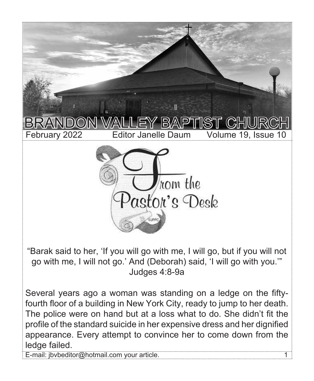

"Barak said to her, 'If you will go with me, I will go, but if you will not go with me, I will not go.' And (Deborah) said, 'I will go with you.'" Judges 4:8-9a

Several years ago a woman was standing on a ledge on the fiftyfourth floor of a building in New York City, ready to jump to her death. The police were on hand but at a loss what to do. She didn't fit the profile of the standard suicide in her expensive dress and her dignified appearance. Every attempt to convince her to come down from the ledge failed.

E-mail: jbvbeditor@hotmail.com your article. 1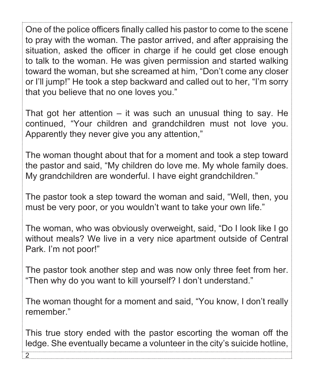One of the police officers finally called his pastor to come to the scene to pray with the woman. The pastor arrived, and after appraising the situation, asked the officer in charge if he could get close enough to talk to the woman. He was given permission and started walking toward the woman, but she screamed at him, "Don't come any closer or I'll jump!" He took a step backward and called out to her, "I'm sorry that you believe that no one loves you."

That got her attention  $-$  it was such an unusual thing to say. He continued, "Your children and grandchildren must not love you. Apparently they never give you any attention,"

The woman thought about that for a moment and took a step toward the pastor and said, "My children do love me. My whole family does. My grandchildren are wonderful. I have eight grandchildren."

The pastor took a step toward the woman and said, "Well, then, you must be very poor, or you wouldn't want to take your own life."

The woman, who was obviously overweight, said, "Do I look like I go without meals? We live in a very nice apartment outside of Central Park. I'm not poor!"

The pastor took another step and was now only three feet from her. "Then why do you want to kill yourself? I don't understand."

The woman thought for a moment and said, "You know, I don't really remember."

This true story ended with the pastor escorting the woman off the ledge. She eventually became a volunteer in the city's suicide hotline,

2.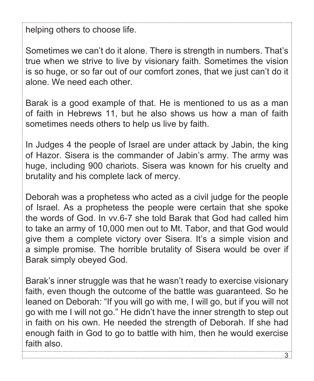helping others to choose life.

Sometimes we can't do it alone. There is strength in numbers. That's true when we strive to live by visionary faith. Sometimes the vision is so huge, or so far out of our comfort zones, that we just can't do it alone. We need each other.

Barak is a good example of that. He is mentioned to us as a man of faith in Hebrews 11, but he also shows us how a man of faith sometimes needs others to help us live by faith.

In Judges 4 the people of Israel are under attack by Jabin, the king of Hazor. Sisera is the commander of Jabin's army. The army was huge, including 900 chariots. Sisera was known for his cruelty and brutality and his complete lack of mercy.

Deborah was a prophetess who acted as a civil judge for the people of Israel. As a prophetess the people were certain that she spoke the words of God. In vv.6-7 she told Barak that God had called him to take an army of 10,000 men out to Mt. Tabor, and that God would give them a complete victory over Sisera. It's a simple vision and a simple promise. The horrible brutality of Sisera would be over if Barak simply obeyed God.

Barak's inner struggle was that he wasn't ready to exercise visionary faith, even though the outcome of the battle was guaranteed. So he leaned on Deborah: "If you will go with me, I will go, but if you will not go with me I will not go." He didn't have the inner strength to step out in faith on his own. He needed the strength of Deborah. If she had enough faith in God to go to battle with him, then he would exercise faith also.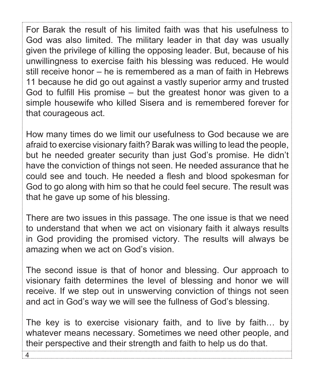For Barak the result of his limited faith was that his usefulness to God was also limited. The military leader in that day was usually given the privilege of killing the opposing leader. But, because of his unwillingness to exercise faith his blessing was reduced. He would still receive honor – he is remembered as a man of faith in Hebrews 11 because he did go out against a vastly superior army and trusted God to fulfill His promise – but the greatest honor was given to a simple housewife who killed Sisera and is remembered forever for that courageous act.

How many times do we limit our usefulness to God because we are afraid to exercise visionary faith? Barak was willing to lead the people, but he needed greater security than just God's promise. He didn't have the conviction of things not seen. He needed assurance that he could see and touch. He needed a flesh and blood spokesman for God to go along with him so that he could feel secure. The result was that he gave up some of his blessing.

There are two issues in this passage. The one issue is that we need to understand that when we act on visionary faith it always results in God providing the promised victory. The results will always be amazing when we act on God's vision.

The second issue is that of honor and blessing. Our approach to visionary faith determines the level of blessing and honor we will receive. If we step out in unswerving conviction of things not seen and act in God's way we will see the fullness of God's blessing.

The key is to exercise visionary faith, and to live by faith… by whatever means necessary. Sometimes we need other people, and their perspective and their strength and faith to help us do that.

4.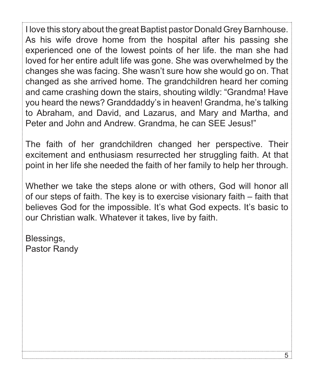I love this story about the great Baptist pastor Donald Grey Barnhouse. As his wife drove home from the hospital after his passing she experienced one of the lowest points of her life. the man she had loved for her entire adult life was gone. She was overwhelmed by the changes she was facing. She wasn't sure how she would go on. That changed as she arrived home. The grandchildren heard her coming and came crashing down the stairs, shouting wildly: "Grandma! Have you heard the news? Granddaddy's in heaven! Grandma, he's talking to Abraham, and David, and Lazarus, and Mary and Martha, and Peter and John and Andrew. Grandma, he can SEE Jesus!"

The faith of her grandchildren changed her perspective. Their excitement and enthusiasm resurrected her struggling faith. At that point in her life she needed the faith of her family to help her through.

Whether we take the steps alone or with others, God will honor all of our steps of faith. The key is to exercise visionary faith – faith that believes God for the impossible. It's what God expects. It's basic to our Christian walk. Whatever it takes, live by faith.

Blessings, Pastor Randy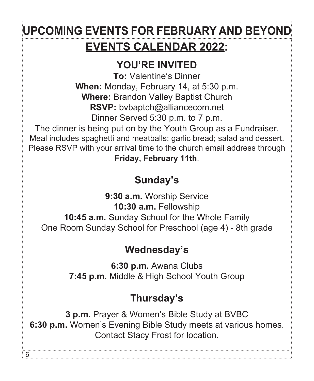# **EVENTS CALENDAR 2022: UPCOMING EVENTS FOR FEBRUARY AND BEYON**

## **YOU'RE INVITED**

**To:** Valentine's Dinner **When:** Monday, February 14, at 5:30 p.m. **Where:** Brandon Valley Baptist Church **RSVP:** bvbaptch@alliancecom.net Dinner Served 5:30 p.m. to 7 p.m.

The dinner is being put on by the Youth Group as a Fundraiser. Meal includes spaghetti and meatballs; garlic bread; salad and dessert. Please RSVP with your arrival time to the church email address through

**Friday, February 11th**.

## **Sunday's**

**9:30 a.m.** Worship Service **10:30 a.m.** Fellowship **10:45 a.m.** Sunday School for the Whole Family One Room Sunday School for Preschool (age 4) - 8th grade

## **Wednesday's**

**6:30 p.m.** Awana Clubs **7:45 p.m.** Middle & High School Youth Group

## **Thursday's**

**3 p.m.** Prayer & Women's Bible Study at BVBC **6:30 p.m.** Women's Evening Bible Study meets at various homes. Contact Stacy Frost for location.

6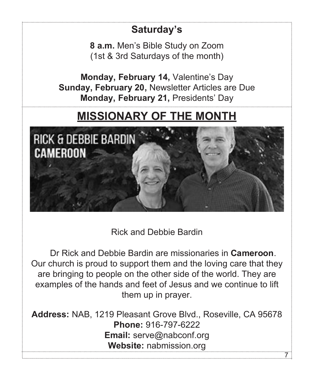# **Saturday's 8 a.m.** Men's Bible Study on Zoom (1st & 3rd Saturdays of the month) **Monday, February 14,** Valentine's Day **Sunday, February 20,** Newsletter Articles are Due **Monday, February 21,** Presidents' Day **MISSIONARY OF THE MONTH** RICK & DEBBIE BARDIN CAMEROON

Rick and Debbie Bardin

Dr Rick and Debbie Bardin are missionaries in **Cameroon**. Our church is proud to support them and the loving care that they are bringing to people on the other side of the world. They are examples of the hands and feet of Jesus and we continue to lift them up in prayer.

**Address:** NAB, 1219 Pleasant Grove Blvd., Roseville, CA 95678 **Phone:** 916-797-6222 **Email:** serve@nabconf.org **Website:** nabmission.org 7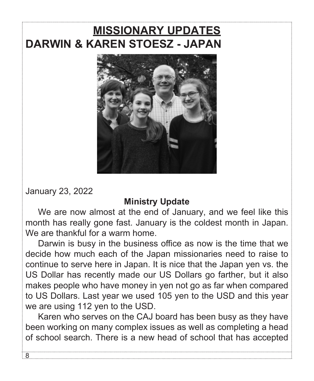## **MISSIONARY UPDATES DARWIN & KAREN STOESZ - JAPAN**



January 23, 2022

 $\overline{8}$ .

#### **Ministry Update**

We are now almost at the end of January, and we feel like this month has really gone fast. January is the coldest month in Japan. We are thankful for a warm home.

Darwin is busy in the business office as now is the time that we decide how much each of the Japan missionaries need to raise to continue to serve here in Japan. It is nice that the Japan yen vs. the US Dollar has recently made our US Dollars go farther, but it also makes people who have money in yen not go as far when compared to US Dollars. Last year we used 105 yen to the USD and this year we are using 112 yen to the USD.

Karen who serves on the CAJ board has been busy as they have been working on many complex issues as well as completing a head of school search. There is a new head of school that has accepted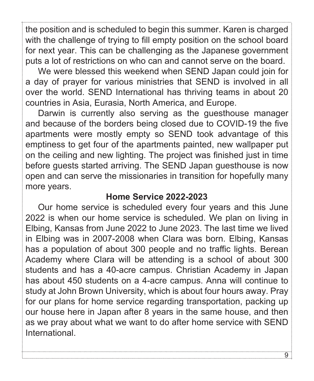the position and is scheduled to begin this summer. Karen is charged with the challenge of trying to fill empty position on the school board for next year. This can be challenging as the Japanese government puts a lot of restrictions on who can and cannot serve on the board.

We were blessed this weekend when SEND Japan could join for a day of prayer for various ministries that SEND is involved in all over the world. SEND International has thriving teams in about 20 countries in Asia, Eurasia, North America, and Europe.

Darwin is currently also serving as the guesthouse manager and because of the borders being closed due to COVID-19 the five apartments were mostly empty so SEND took advantage of this emptiness to get four of the apartments painted, new wallpaper put on the ceiling and new lighting. The project was finished just in time before guests started arriving. The SEND Japan guesthouse is now open and can serve the missionaries in transition for hopefully many more years.

#### **Home Service 2022-2023**

Our home service is scheduled every four years and this June 2022 is when our home service is scheduled. We plan on living in Elbing, Kansas from June 2022 to June 2023. The last time we lived in Elbing was in 2007-2008 when Clara was born. Elbing, Kansas has a population of about 300 people and no traffic lights. Berean Academy where Clara will be attending is a school of about 300 students and has a 40-acre campus. Christian Academy in Japan has about 450 students on a 4-acre campus. Anna will continue to study at John Brown University, which is about four hours away. Pray for our plans for home service regarding transportation, packing up our house here in Japan after 8 years in the same house, and then as we pray about what we want to do after home service with SEND International.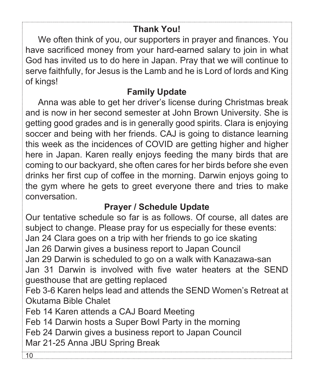### **Thank You!**

We often think of you, our supporters in prayer and finances. You have sacrificed money from your hard-earned salary to join in what God has invited us to do here in Japan. Pray that we will continue to serve faithfully, for Jesus is the Lamb and he is Lord of lords and King of kings!

#### **Family Update**

Anna was able to get her driver's license during Christmas break and is now in her second semester at John Brown University. She is getting good grades and is in generally good spirits. Clara is enjoying soccer and being with her friends. CAJ is going to distance learning this week as the incidences of COVID are getting higher and higher here in Japan. Karen really enjoys feeding the many birds that are coming to our backyard, she often cares for her birds before she even drinks her first cup of coffee in the morning. Darwin enjoys going to the gym where he gets to greet everyone there and tries to make conversation.

### **Prayer / Schedule Update**

Our tentative schedule so far is as follows. Of course, all dates are subject to change. Please pray for us especially for these events: Jan 24 Clara goes on a trip with her friends to go ice skating Jan 26 Darwin gives a business report to Japan Council Jan 29 Darwin is scheduled to go on a walk with Kanazawa-san Jan 31 Darwin is involved with five water heaters at the SEND guesthouse that are getting replaced Feb 3-6 Karen helps lead and attends the SEND Women's Retreat at Okutama Bible Chalet Feb 14 Karen attends a CAJ Board Meeting Feb 14 Darwin hosts a Super Bowl Party in the morning Feb 24 Darwin gives a business report to Japan Council Mar 21-25 Anna JBU Spring Break 10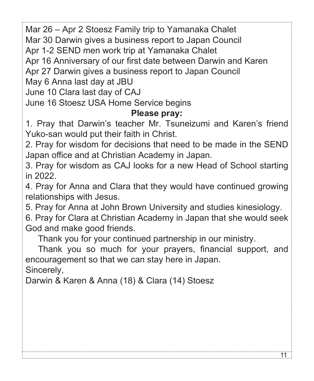Mar 26 – Apr 2 Stoesz Family trip to Yamanaka Chalet

Mar 30 Darwin gives a business report to Japan Council

Apr 1-2 SEND men work trip at Yamanaka Chalet

Apr 16 Anniversary of our first date between Darwin and Karen

Apr 27 Darwin gives a business report to Japan Council

May 6 Anna last day at JBU

June 10 Clara last day of CAJ

June 16 Stoesz USA Home Service begins

#### **Please pray:**

1. Pray that Darwin's teacher Mr. Tsuneizumi and Karen's friend Yuko-san would put their faith in Christ.

2. Pray for wisdom for decisions that need to be made in the SEND Japan office and at Christian Academy in Japan.

3. Pray for wisdom as CAJ looks for a new Head of School starting in 2022.

4. Pray for Anna and Clara that they would have continued growing relationships with Jesus.

5. Pray for Anna at John Brown University and studies kinesiology.

6. Pray for Clara at Christian Academy in Japan that she would seek God and make good friends.

Thank you for your continued partnership in our ministry.

Thank you so much for your prayers, financial support, and encouragement so that we can stay here in Japan.

11

Sincerely,

Darwin & Karen & Anna (18) & Clara (14) Stoesz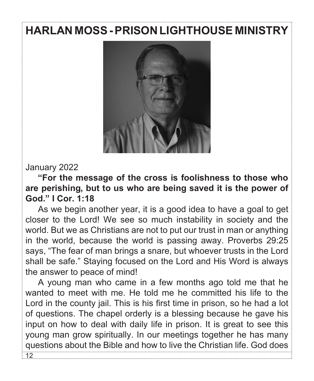## **HARLAN MOSS - PRISON LIGHTHOUSE MINISTRY**



#### January 2022

**"For the message of the cross is foolishness to those who are perishing, but to us who are being saved it is the power of God." I Cor. 1:18**

As we begin another year, it is a good idea to have a goal to get closer to the Lord! We see so much instability in society and the world. But we as Christians are not to put our trust in man or anything in the world, because the world is passing away. Proverbs 29:25 says, "The fear of man brings a snare, but whoever trusts in the Lord shall be safe." Staying focused on the Lord and His Word is always the answer to peace of mind!

A young man who came in a few months ago told me that he wanted to meet with me. He told me he committed his life to the Lord in the county jail. This is his first time in prison, so he had a lot of questions. The chapel orderly is a blessing because he gave his input on how to deal with daily life in prison. It is great to see this young man grow spiritually. In our meetings together he has many questions about the Bible and how to live the Christian life. God does  $\overline{12}$ .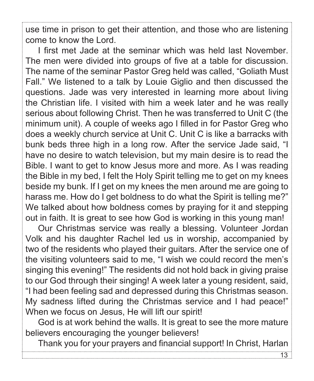use time in prison to get their attention, and those who are listening come to know the Lord.

I first met Jade at the seminar which was held last November. The men were divided into groups of five at a table for discussion. The name of the seminar Pastor Greg held was called, "Goliath Must Fall." We listened to a talk by Louie Giglio and then discussed the questions. Jade was very interested in learning more about living the Christian life. I visited with him a week later and he was really serious about following Christ. Then he was transferred to Unit C (the minimum unit). A couple of weeks ago I filled in for Pastor Greg who does a weekly church service at Unit C. Unit C is like a barracks with bunk beds three high in a long row. After the service Jade said, "I have no desire to watch television, but my main desire is to read the Bible. I want to get to know Jesus more and more. As I was reading the Bible in my bed, I felt the Holy Spirit telling me to get on my knees beside my bunk. If I get on my knees the men around me are going to harass me. How do I get boldness to do what the Spirit is telling me?" We talked about how boldness comes by praying for it and stepping out in faith. It is great to see how God is working in this young man!

Our Christmas service was really a blessing. Volunteer Jordan Volk and his daughter Rachel led us in worship, accompanied by two of the residents who played their guitars. After the service one of the visiting volunteers said to me, "I wish we could record the men's singing this evening!" The residents did not hold back in giving praise to our God through their singing! A week later a young resident, said, "I had been feeling sad and depressed during this Christmas season. My sadness lifted during the Christmas service and I had peace!" When we focus on Jesus, He will lift our spirit!

God is at work behind the walls. It is great to see the more mature believers encouraging the younger believers!

Thank you for your prayers and financial support! In Christ, Harlan

13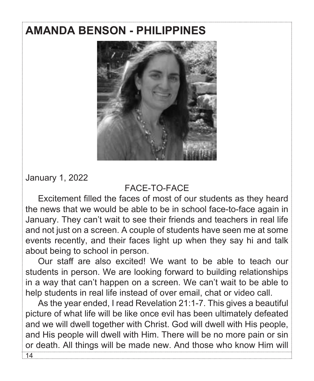## **AMANDA BENSON - PHILIPPINES**



January 1, 2022

#### FACE-TO-FACE

Excitement filled the faces of most of our students as they heard the news that we would be able to be in school face-to-face again in January. They can't wait to see their friends and teachers in real life and not just on a screen. A couple of students have seen me at some events recently, and their faces light up when they say hi and talk about being to school in person.

Our staff are also excited! We want to be able to teach our students in person. We are looking forward to building relationships in a way that can't happen on a screen. We can't wait to be able to help students in real life instead of over email, chat or video call.

As the year ended, I read Revelation 21:1-7. This gives a beautiful picture of what life will be like once evil has been ultimately defeated and we will dwell together with Christ. God will dwell with His people, and His people will dwell with Him. There will be no more pain or sin or death. All things will be made new. And those who know Him will  $14.$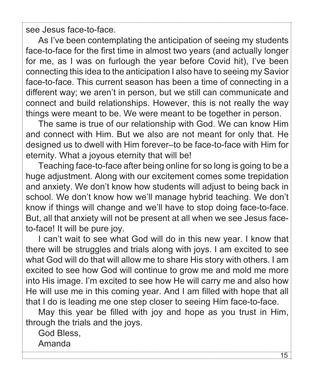see Jesus face-to-face.

As I've been contemplating the anticipation of seeing my students face-to-face for the first time in almost two years (and actually longer for me, as I was on furlough the year before Covid hit), I've been connecting this idea to the anticipation I also have to seeing my Savior face-to-face. This current season has been a time of connecting in a different way; we aren't in person, but we still can communicate and connect and build relationships. However, this is not really the way things were meant to be. We were meant to be together in person.

The same is true of our relationship with God. We can know Him and connect with Him. But we also are not meant for only that. He designed us to dwell with Him forever–to be face-to-face with Him for eternity. What a joyous eternity that will be!

Teaching face-to-face after being online for so long is going to be a huge adjustment. Along with our excitement comes some trepidation and anxiety. We don't know how students will adjust to being back in school. We don't know how we'll manage hybrid teaching. We don't know if things will change and we'll have to stop doing face-to-face. But, all that anxiety will not be present at all when we see Jesus faceto-face! It will be pure joy.

I can't wait to see what God will do in this new year. I know that there will be struggles and trials along with joys. I am excited to see what God will do that will allow me to share His story with others. I am excited to see how God will continue to grow me and mold me more into His image. I'm excited to see how He will carry me and also how He will use me in this coming year. And I am filled with hope that all that I do is leading me one step closer to seeing Him face-to-face.

May this year be filled with joy and hope as you trust in Him, through the trials and the joys.

God Bless, Amanda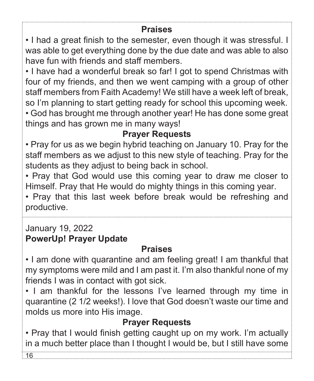#### **Praises**

• I had a great finish to the semester, even though it was stressful. I was able to get everything done by the due date and was able to also have fun with friends and staff members.

• I have had a wonderful break so far! I got to spend Christmas with four of my friends, and then we went camping with a group of other staff members from Faith Academy! We still have a week left of break, so I'm planning to start getting ready for school this upcoming week. • God has brought me through another year! He has done some great things and has grown me in many ways!

### **Prayer Requests**

• Pray for us as we begin hybrid teaching on January 10. Pray for the staff members as we adjust to this new style of teaching. Pray for the students as they adjust to being back in school.

• Pray that God would use this coming year to draw me closer to Himself. Pray that He would do mighty things in this coming year.

• Pray that this last week before break would be refreshing and productive.

### January 19, 2022 **PowerUp! Prayer Update**

### **Praises**

• I am done with quarantine and am feeling great! I am thankful that my symptoms were mild and I am past it. I'm also thankful none of my friends I was in contact with got sick.

• I am thankful for the lessons I've learned through my time in quarantine (2 1/2 weeks!). I love that God doesn't waste our time and molds us more into His image.

## **Prayer Requests**

• Pray that I would finish getting caught up on my work. I'm actually in a much better place than I thought I would be, but I still have some

16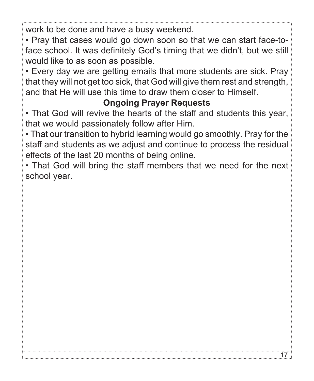work to be done and have a busy weekend.

• Pray that cases would go down soon so that we can start face-toface school. It was definitely God's timing that we didn't, but we still would like to as soon as possible.

• Every day we are getting emails that more students are sick. Pray that they will not get too sick, that God will give them rest and strength, and that He will use this time to draw them closer to Himself.

### **Ongoing Prayer Requests**

• That God will revive the hearts of the staff and students this year, that we would passionately follow after Him.

• That our transition to hybrid learning would go smoothly. Pray for the staff and students as we adjust and continue to process the residual effects of the last 20 months of being online.

• That God will bring the staff members that we need for the next school year.